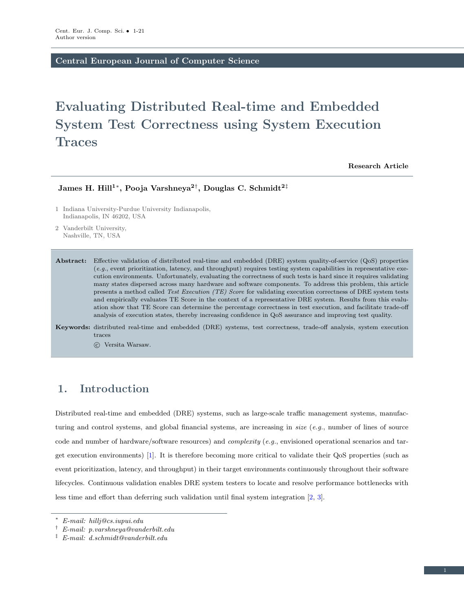Central European Journal of Computer Science

# Evaluating Distributed Real-time and Embedded System Test Correctness using System Execution **Traces**

Research Article

James H. Hill<sup>1</sup>\*, Pooja Varshneya<sup>2†</sup>, Douglas C. Schmidt<sup>2‡</sup>

1 Indiana University-Purdue University Indianapolis, Indianapolis, IN 46202, USA

2 Vanderbilt University, Nashville, TN, USA

Abstract: Effective validation of distributed real-time and embedded (DRE) system quality-of-service (QoS) properties (e.g., event prioritization, latency, and throughput) requires testing system capabilities in representative execution environments. Unfortunately, evaluating the correctness of such tests is hard since it requires validating many states dispersed across many hardware and software components. To address this problem, this article presents a method called Test Execution (TE) Score for validating execution correctness of DRE system tests and empirically evaluates TE Score in the context of a representative DRE system. Results from this evaluation show that TE Score can determine the percentage correctness in test execution, and facilitate trade-off analysis of execution states, thereby increasing confidence in QoS assurance and improving test quality.

Keywords: distributed real-time and embedded (DRE) systems, test correctness, trade-off analysis, system execution traces

c Versita Warsaw.

# <span id="page-0-0"></span>1. Introduction

Distributed real-time and embedded (DRE) systems, such as large-scale traffic management systems, manufacturing and control systems, and global financial systems, are increasing in size  $(e.g.,$  number of lines of source code and number of hardware/software resources) and complexity (e.g., envisioned operational scenarios and target execution environments) [\[1\]](#page-19-0). It is therefore becoming more critical to validate their QoS properties (such as event prioritization, latency, and throughput) in their target environments continuously throughout their software lifecycles. Continuous validation enables DRE system testers to locate and resolve performance bottlenecks with less time and effort than deferring such validation until final system integration [\[2,](#page-19-1) [3\]](#page-19-2).

<sup>∗</sup> E-mail: hillj@cs.iupui.edu

 $\dagger$  E-mail: p.varshneya@vanderbilt.edu

 $\ddot{E}$ -mail: d.schmidt@vanderbilt.edu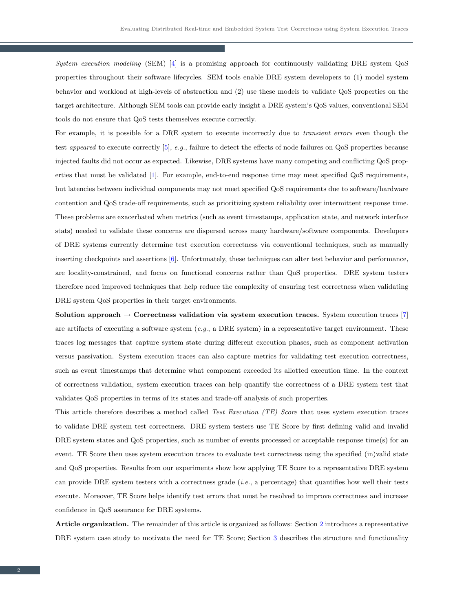System execution modeling (SEM) [\[4\]](#page-19-3) is a promising approach for continuously validating DRE system QoS properties throughout their software lifecycles. SEM tools enable DRE system developers to (1) model system behavior and workload at high-levels of abstraction and (2) use these models to validate QoS properties on the target architecture. Although SEM tools can provide early insight a DRE system's QoS values, conventional SEM tools do not ensure that QoS tests themselves execute correctly.

For example, it is possible for a DRE system to execute incorrectly due to *transient errors* even though the test appeared to execute correctly [\[5\]](#page-19-4), e.g., failure to detect the effects of node failures on QoS properties because injected faults did not occur as expected. Likewise, DRE systems have many competing and conflicting QoS properties that must be validated [\[1\]](#page-19-0). For example, end-to-end response time may meet specified QoS requirements, but latencies between individual components may not meet specified QoS requirements due to software/hardware contention and QoS trade-off requirements, such as prioritizing system reliability over intermittent response time. These problems are exacerbated when metrics (such as event timestamps, application state, and network interface stats) needed to validate these concerns are dispersed across many hardware/software components. Developers of DRE systems currently determine test execution correctness via conventional techniques, such as manually inserting checkpoints and assertions [\[6\]](#page-20-0). Unfortunately, these techniques can alter test behavior and performance, are locality-constrained, and focus on functional concerns rather than QoS properties. DRE system testers therefore need improved techniques that help reduce the complexity of ensuring test correctness when validating DRE system QoS properties in their target environments.

Solution approach  $\rightarrow$  Correctness validation via system execution traces. System execution traces [\[7\]](#page-20-1) are artifacts of executing a software system (e.g., a DRE system) in a representative target environment. These traces log messages that capture system state during different execution phases, such as component activation versus passivation. System execution traces can also capture metrics for validating test execution correctness, such as event timestamps that determine what component exceeded its allotted execution time. In the context of correctness validation, system execution traces can help quantify the correctness of a DRE system test that validates QoS properties in terms of its states and trade-off analysis of such properties.

This article therefore describes a method called Test Execution (TE) Score that uses system execution traces to validate DRE system test correctness. DRE system testers use TE Score by first defining valid and invalid DRE system states and QoS properties, such as number of events processed or acceptable response time(s) for an event. TE Score then uses system execution traces to evaluate test correctness using the specified (in)valid state and QoS properties. Results from our experiments show how applying TE Score to a representative DRE system can provide DRE system testers with a correctness grade  $(i.e.,$  a percentage) that quantifies how well their tests execute. Moreover, TE Score helps identify test errors that must be resolved to improve correctness and increase confidence in QoS assurance for DRE systems.

Article organization. The remainder of this article is organized as follows: Section [2](#page-2-0) introduces a representative DRE system case study to motivate the need for TE Score; Section [3](#page-4-0) describes the structure and functionality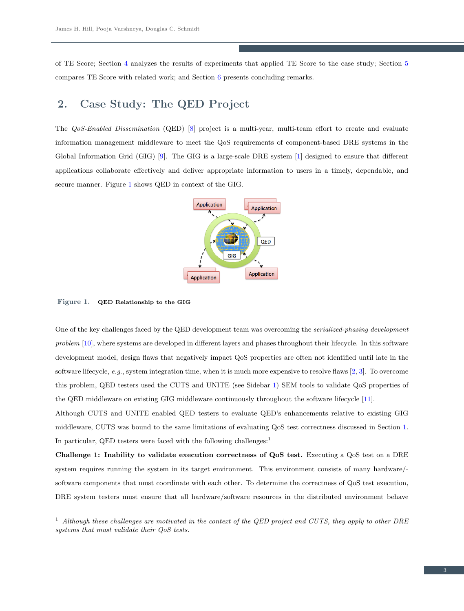of TE Score; Section [4](#page-10-0) analyzes the results of experiments that applied TE Score to the case study; Section [5](#page-17-0) compares TE Score with related work; and Section [6](#page-18-0) presents concluding remarks.

# <span id="page-2-0"></span>2. Case Study: The QED Project

The QoS-Enabled Dissemination (QED) [\[8\]](#page-20-2) project is a multi-year, multi-team effort to create and evaluate information management middleware to meet the QoS requirements of component-based DRE systems in the Global Information Grid (GIG) [\[9\]](#page-20-3). The GIG is a large-scale DRE system [\[1\]](#page-19-0) designed to ensure that different applications collaborate effectively and deliver appropriate information to users in a timely, dependable, and secure manner. Figure [1](#page-2-1) shows QED in context of the GIG.



<span id="page-2-1"></span>Figure 1. QED Relationship to the GIG

One of the key challenges faced by the QED development team was overcoming the serialized-phasing development problem [\[10\]](#page-20-4), where systems are developed in different layers and phases throughout their lifecycle. In this software development model, design flaws that negatively impact QoS properties are often not identified until late in the software lifecycle, e.g., system integration time, when it is much more expensive to resolve flaws  $[2, 3]$  $[2, 3]$  $[2, 3]$ . To overcome this problem, QED testers used the CUTS and UNITE (see Sidebar [1\)](#page-3-0) SEM tools to validate QoS properties of the QED middleware on existing GIG middleware continuously throughout the software lifecycle [\[11\]](#page-20-5).

Although CUTS and UNITE enabled QED testers to evaluate QED's enhancements relative to existing GIG middleware, CUTS was bound to the same limitations of evaluating QoS test correctness discussed in Section [1.](#page-0-0) In particular, QED testers were faced with the following challenges:

Challenge 1: Inability to validate execution correctness of QoS test. Executing a QoS test on a DRE system requires running the system in its target environment. This environment consists of many hardware/ software components that must coordinate with each other. To determine the correctness of QoS test execution, DRE system testers must ensure that all hardware/software resources in the distributed environment behave

<sup>&</sup>lt;sup>1</sup> Although these challenges are motivated in the context of the QED project and CUTS, they apply to other DRE systems that must validate their QoS tests.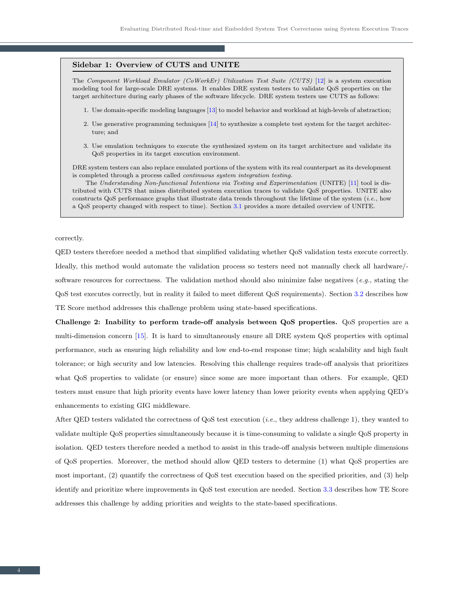#### <span id="page-3-0"></span>Sidebar 1: Overview of CUTS and UNITE

The Component Workload Emulator (CoWorkEr) Utilization Test Suite (CUTS) [\[12\]](#page-20-6) is a system execution modeling tool for large-scale DRE systems. It enables DRE system testers to validate QoS properties on the target architecture during early phases of the software lifecycle. DRE system testers use CUTS as follows:

- 1. Use domain-specific modeling languages [\[13\]](#page-20-7) to model behavior and workload at high-levels of abstraction;
- 2. Use generative programming techniques [\[14\]](#page-20-8) to synthesize a complete test system for the target architecture; and
- 3. Use emulation techniques to execute the synthesized system on its target architecture and validate its QoS properties in its target execution environment.

DRE system testers can also replace emulated portions of the system with its real counterpart as its development is completed through a process called continuous system integration testing.

The Understanding Non-functional Intentions via Testing and Experimentation (UNITE) [\[11\]](#page-20-5) tool is distributed with CUTS that mines distributed system execution traces to validate QoS properties. UNITE also constructs QoS performance graphs that illustrate data trends throughout the lifetime of the system (i.e., how a QoS property changed with respect to time). Section [3.1](#page-4-1) provides a more detailed overview of UNITE.

correctly.

QED testers therefore needed a method that simplified validating whether QoS validation tests execute correctly. Ideally, this method would automate the validation process so testers need not manually check all hardware/ software resources for correctness. The validation method should also minimize false negatives (e.g., stating the QoS test executes correctly, but in reality it failed to meet different QoS requirements). Section [3.2](#page-5-0) describes how TE Score method addresses this challenge problem using state-based specifications.

Challenge 2: Inability to perform trade-off analysis between QoS properties. QoS properties are a multi-dimension concern [\[15\]](#page-20-9). It is hard to simultaneously ensure all DRE system QoS properties with optimal performance, such as ensuring high reliability and low end-to-end response time; high scalability and high fault tolerance; or high security and low latencies. Resolving this challenge requires trade-off analysis that prioritizes what QoS properties to validate (or ensure) since some are more important than others. For example, QED testers must ensure that high priority events have lower latency than lower priority events when applying QED's enhancements to existing GIG middleware.

After QED testers validated the correctness of QoS test execution  $(i.e.,$  they address challenge 1), they wanted to validate multiple QoS properties simultaneously because it is time-consuming to validate a single QoS property in isolation. QED testers therefore needed a method to assist in this trade-off analysis between multiple dimensions of QoS properties. Moreover, the method should allow QED testers to determine (1) what QoS properties are most important, (2) quantify the correctness of QoS test execution based on the specified priorities, and (3) help identify and prioritize where improvements in QoS test execution are needed. Section [3.3](#page-6-0) describes how TE Score addresses this challenge by adding priorities and weights to the state-based specifications.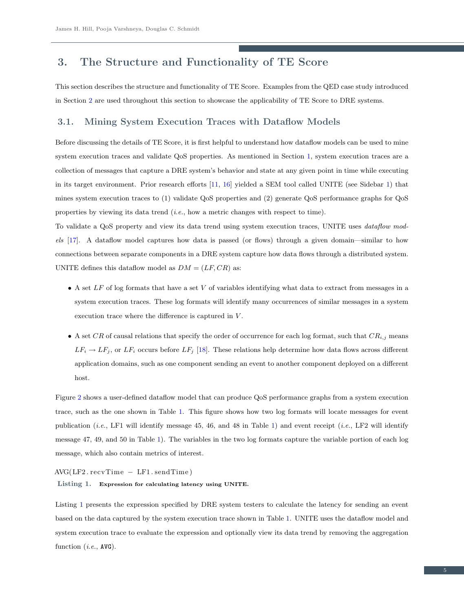# <span id="page-4-0"></span>3. The Structure and Functionality of TE Score

This section describes the structure and functionality of TE Score. Examples from the QED case study introduced in Section [2](#page-2-0) are used throughout this section to showcase the applicability of TE Score to DRE systems.

### <span id="page-4-1"></span>3.1. Mining System Execution Traces with Dataflow Models

Before discussing the details of TE Score, it is first helpful to understand how dataflow models can be used to mine system execution traces and validate QoS properties. As mentioned in Section [1,](#page-0-0) system execution traces are a collection of messages that capture a DRE system's behavior and state at any given point in time while executing in its target environment. Prior research efforts [\[11,](#page-20-5) [16\]](#page-20-10) yielded a SEM tool called UNITE (see Sidebar [1\)](#page-3-0) that mines system execution traces to (1) validate QoS properties and (2) generate QoS performance graphs for QoS properties by viewing its data trend (i.e., how a metric changes with respect to time).

To validate a QoS property and view its data trend using system execution traces, UNITE uses dataflow models [\[17\]](#page-20-11). A dataflow model captures how data is passed (or flows) through a given domain—similar to how connections between separate components in a DRE system capture how data flows through a distributed system. UNITE defines this dataflow model as  $DM = (LF, CR)$  as:

- A set  $LF$  of log formats that have a set  $V$  of variables identifying what data to extract from messages in a system execution traces. These log formats will identify many occurrences of similar messages in a system execution trace where the difference is captured in  $V$ .
- A set CR of causal relations that specify the order of occurrence for each log format, such that  $CR_{i,j}$  means  $LF_i \rightarrow LF_j$ , or  $LF_i$  occurs before  $LF_j$  [\[18\]](#page-20-12). These relations help determine how data flows across different application domains, such as one component sending an event to another component deployed on a different host.

Figure [2](#page-5-1) shows a user-defined dataflow model that can produce QoS performance graphs from a system execution trace, such as the one shown in Table [1.](#page-5-2) This figure shows how two log formats will locate messages for event publication (*i.e.*, LF1 will identify message 45, 46, and 48 in Table [1\)](#page-5-2) and event receipt (*i.e.*, LF2 will identify message 47, 49, and 50 in Table [1\)](#page-5-2). The variables in the two log formats capture the variable portion of each log message, which also contain metrics of interest.

<span id="page-4-2"></span> $AVG(LF2. recvTime - LF1. sendTime)$ 

Listing 1. Expression for calculating latency using UNITE.

Listing [1](#page-4-2) presents the expression specified by DRE system testers to calculate the latency for sending an event based on the data captured by the system execution trace shown in Table [1.](#page-5-2) UNITE uses the dataflow model and system execution trace to evaluate the expression and optionally view its data trend by removing the aggregation function (*i.e.*, AVG).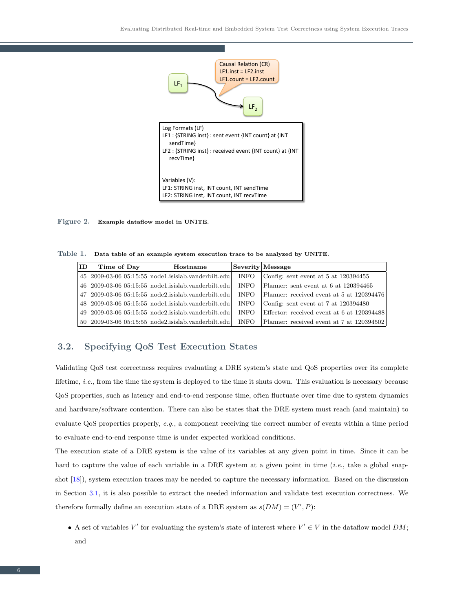

<span id="page-5-1"></span>Figure 2. Example dataflow model in UNITE.

<span id="page-5-2"></span>Table 1. Data table of an example system execution trace to be analyzed by UNITE.

| ΙD | Time of Day | Hostname                                                |             | Severity Message                           |
|----|-------------|---------------------------------------------------------|-------------|--------------------------------------------|
|    |             | $45 2009-03-06 05:15:55 00001$ .isislab.vanderbilt.edu  | <b>INFO</b> | Config: sent event at $5$ at $120394455$   |
|    |             | 46   2009-03-06 05:15:55   node1.isislab.vanderbilt.edu | <b>INFO</b> | Planner: sent event at 6 at 120394465      |
|    |             | $47 2009-03-06 05:15:55 node2.isislab.vanderbit.edu $   | <b>INFO</b> | Planner: received event at 5 at 120394476  |
|    |             | 48 2009-03-06 05:15:55 node1.isislab.vanderbilt.edu     | <b>INFO</b> | Config: sent event at 7 at 120394480       |
|    |             | $49 2009-03-06 05:15:55 node2.isislab.vanderbit.edu $   | <b>INFO</b> | Effector: received event at 6 at 120394488 |
|    |             | $50 2009-03-0605:15:55 node2.isislab.vanderbit.edu $    | <b>INFO</b> | Planner: received event at 7 at 120394502  |

### <span id="page-5-0"></span>3.2. Specifying QoS Test Execution States

Validating QoS test correctness requires evaluating a DRE system's state and QoS properties over its complete lifetime, i.e., from the time the system is deployed to the time it shuts down. This evaluation is necessary because QoS properties, such as latency and end-to-end response time, often fluctuate over time due to system dynamics and hardware/software contention. There can also be states that the DRE system must reach (and maintain) to evaluate QoS properties properly, e.g., a component receiving the correct number of events within a time period to evaluate end-to-end response time is under expected workload conditions.

The execution state of a DRE system is the value of its variables at any given point in time. Since it can be hard to capture the value of each variable in a DRE system at a given point in time (*i.e.*, take a global snapshot [\[18\]](#page-20-12)), system execution traces may be needed to capture the necessary information. Based on the discussion in Section [3.1,](#page-4-1) it is also possible to extract the needed information and validate test execution correctness. We therefore formally define an execution state of a DRE system as  $s(DM) = (V', P)$ :

• A set of variables V' for evaluating the system's state of interest where  $V' \in V$  in the dataflow model DM; and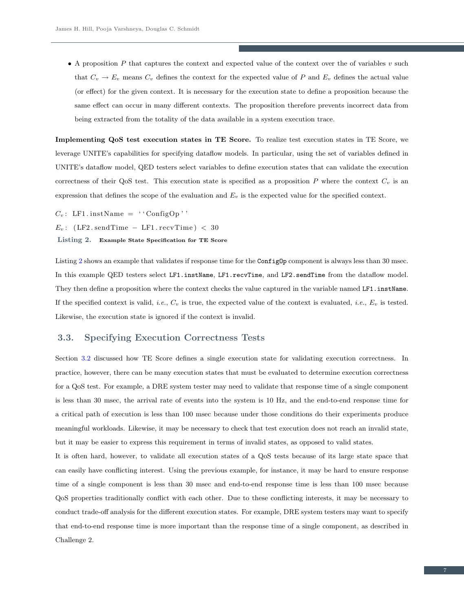• A proposition  $P$  that captures the context and expected value of the context over the of variables  $v$  such that  $C_v \to E_v$  means  $C_v$  defines the context for the expected value of P and  $E_v$  defines the actual value (or effect) for the given context. It is necessary for the execution state to define a proposition because the same effect can occur in many different contexts. The proposition therefore prevents incorrect data from being extracted from the totality of the data available in a system execution trace.

Implementing QoS test execution states in TE Score. To realize test execution states in TE Score, we leverage UNITE's capabilities for specifying dataflow models. In particular, using the set of variables defined in UNITE's dataflow model, QED testers select variables to define execution states that can validate the execution correctness of their QoS test. This execution state is specified as a proposition P where the context  $C_v$  is an expression that defines the scope of the evaluation and  $E_v$  is the expected value for the specified context.

<span id="page-6-1"></span> $C_v$ : LF1. instName = ''ConfigOp''

 $E_v$ : (LF2.sendTime – LF1.recvTime) < 30

Listing 2. Example State Specification for TE Score

Listing [2](#page-6-1) shows an example that validates if response time for the Config<sub>Op</sub> component is always less than 30 msec. In this example QED testers select LF1.instName, LF1.recvTime, and LF2.sendTime from the dataflow model. They then define a proposition where the context checks the value captured in the variable named LF1. instName. If the specified context is valid, *i.e.*,  $C_v$  is true, the expected value of the context is evaluated, *i.e.*,  $E_v$  is tested. Likewise, the execution state is ignored if the context is invalid.

### <span id="page-6-0"></span>3.3. Specifying Execution Correctness Tests

Section [3.2](#page-5-0) discussed how TE Score defines a single execution state for validating execution correctness. In practice, however, there can be many execution states that must be evaluated to determine execution correctness for a QoS test. For example, a DRE system tester may need to validate that response time of a single component is less than 30 msec, the arrival rate of events into the system is 10 Hz, and the end-to-end response time for a critical path of execution is less than 100 msec because under those conditions do their experiments produce meaningful workloads. Likewise, it may be necessary to check that test execution does not reach an invalid state, but it may be easier to express this requirement in terms of invalid states, as opposed to valid states.

It is often hard, however, to validate all execution states of a QoS tests because of its large state space that can easily have conflicting interest. Using the previous example, for instance, it may be hard to ensure response time of a single component is less than 30 msec and end-to-end response time is less than 100 msec because QoS properties traditionally conflict with each other. Due to these conflicting interests, it may be necessary to conduct trade-off analysis for the different execution states. For example, DRE system testers may want to specify that end-to-end response time is more important than the response time of a single component, as described in Challenge 2.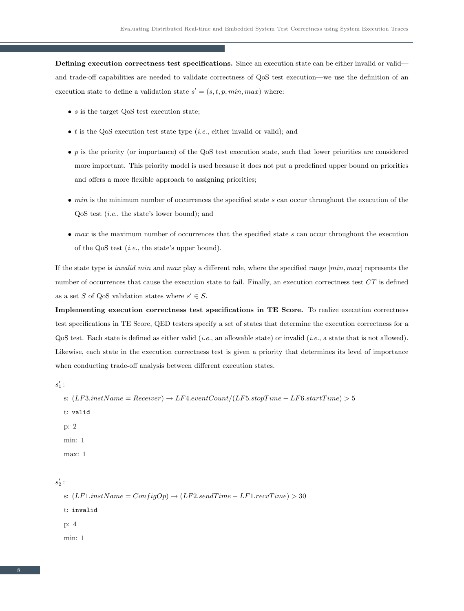Defining execution correctness test specifications. Since an execution state can be either invalid or valid and trade-off capabilities are needed to validate correctness of QoS test execution—we use the definition of an execution state to define a validation state  $s' = (s, t, p, min, max)$  where:

- $s$  is the target QoS test execution state;
- $\bullet$  t is the QoS execution test state type (*i.e.*, either invalid or valid); and
- $\bullet$  p is the priority (or importance) of the QoS test execution state, such that lower priorities are considered more important. This priority model is used because it does not put a predefined upper bound on priorities and offers a more flexible approach to assigning priorities;
- $\bullet$  min is the minimum number of occurrences the specified state s can occur throughout the execution of the QoS test (i.e., the state's lower bound); and
- $\bullet$  max is the maximum number of occurrences that the specified state s can occur throughout the execution of the QoS test (i.e., the state's upper bound).

If the state type is *invalid min* and max play a different role, where the specified range  $[min, max]$  represents the number of occurrences that cause the execution state to fail. Finally, an execution correctness test CT is defined as a set S of QoS validation states where  $s' \in S$ .

Implementing execution correctness test specifications in TE Score. To realize execution correctness test specifications in TE Score, QED testers specify a set of states that determine the execution correctness for a  $Q$ oS test. Each state is defined as either valid (*i.e.*, an allowable state) or invalid (*i.e.*, a state that is not allowed). Likewise, each state in the execution correctness test is given a priority that determines its level of importance when conducting trade-off analysis between different execution states.

<span id="page-7-0"></span> $s'_1$  :

```
s: (LF3.instName = Receiver) \rightarrow LF4. eventCount/(LF5. stopTime - LF6. startTime) > 5t: valid
p: 2
min: 1
max: 1
```
 $s_2'$  :

s:  $(LF1.nstName = ConfigOp) \rightarrow (LF2.sendTime - LF1.recvTime) > 30$ t: invalid p: 4 min: 1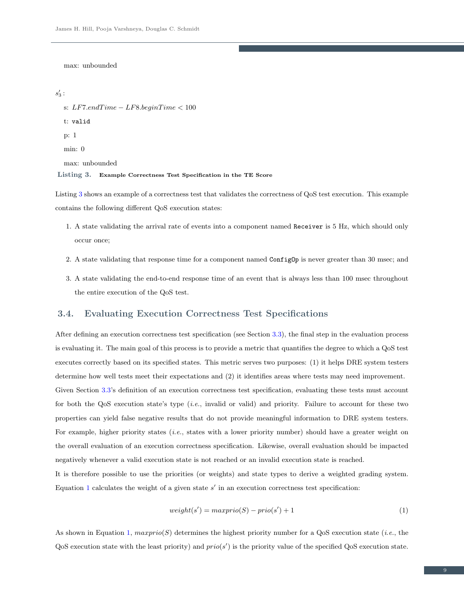max: unbounded

## $s_3'$  :

```
s: LF7.endTime - LFS.beginTime < 100t: valid
p: 1
min: 0
max: unbounded
```
#### Listing 3. Example Correctness Test Specification in the TE Score

Listing [3](#page-7-0) shows an example of a correctness test that validates the correctness of QoS test execution. This example contains the following different QoS execution states:

- 1. A state validating the arrival rate of events into a component named Receiver is 5 Hz, which should only occur once;
- 2. A state validating that response time for a component named ConfigOp is never greater than 30 msec; and
- 3. A state validating the end-to-end response time of an event that is always less than 100 msec throughout the entire execution of the QoS test.

### <span id="page-8-1"></span>3.4. Evaluating Execution Correctness Test Specifications

After defining an execution correctness test specification (see Section [3.3\)](#page-6-0), the final step in the evaluation process is evaluating it. The main goal of this process is to provide a metric that quantifies the degree to which a QoS test executes correctly based on its specified states. This metric serves two purposes: (1) it helps DRE system testers determine how well tests meet their expectations and (2) it identifies areas where tests may need improvement. Given Section [3.3'](#page-6-0)s definition of an execution correctness test specification, evaluating these tests must account for both the QoS execution state's type (i.e., invalid or valid) and priority. Failure to account for these two properties can yield false negative results that do not provide meaningful information to DRE system testers. For example, higher priority states (*i.e.*, states with a lower priority number) should have a greater weight on the overall evaluation of an execution correctness specification. Likewise, overall evaluation should be impacted

negatively whenever a valid execution state is not reached or an invalid execution state is reached. It is therefore possible to use the priorities (or weights) and state types to derive a weighted grading system.

Equation [1](#page-8-0) calculates the weight of a given state  $s'$  in an execution correctness test specification:

<span id="page-8-0"></span>
$$
weight(s') = max\text{prio}(S) - \text{prio}(s') + 1\tag{1}
$$

As shown in Equation [1,](#page-8-0)  $maxprio(S)$  determines the highest priority number for a QoS execution state (*i.e.*, the  $Q$ oS execution state with the least priority) and  $prio(s')$  is the priority value of the specified  $Q$ oS execution state.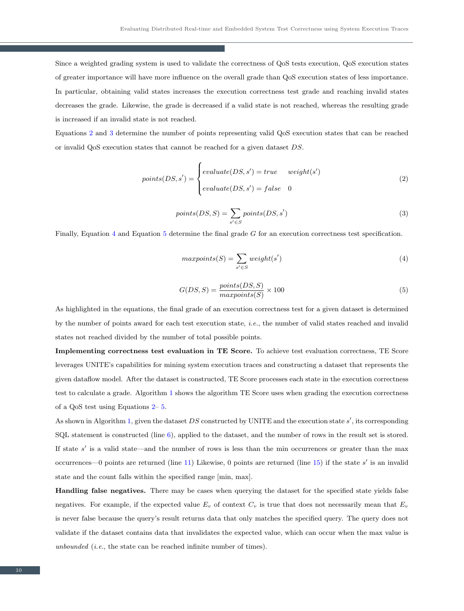Since a weighted grading system is used to validate the correctness of QoS tests execution, QoS execution states of greater importance will have more influence on the overall grade than QoS execution states of less importance. In particular, obtaining valid states increases the execution correctness test grade and reaching invalid states decreases the grade. Likewise, the grade is decreased if a valid state is not reached, whereas the resulting grade is increased if an invalid state is not reached.

Equations [2](#page-9-0) and [3](#page-9-1) determine the number of points representing valid QoS execution states that can be reached or invalid QoS execution states that cannot be reached for a given dataset DS.

$$
points(DS, s') = \begin{cases} evaluate(DS, s') = true & weight(s') \\ evaluate(DS, s') = false & 0 \end{cases}
$$
(2)

<span id="page-9-1"></span><span id="page-9-0"></span>
$$
points(DS, S) = \sum_{s' \in S} points(DS, s')
$$
\n(3)

Finally, Equation [4](#page-9-2) and Equation [5](#page-9-3) determine the final grade G for an execution correctness test specification.

<span id="page-9-2"></span>
$$
maxpoints(S) = \sum_{s' \in S} weight(s')
$$
\n(4)

<span id="page-9-3"></span>
$$
G(DS, S) = \frac{points(DS, S)}{maxpoints(S)} \times 100
$$
\n<sup>(5)</sup>

As highlighted in the equations, the final grade of an execution correctness test for a given dataset is determined by the number of points award for each test execution state, i.e., the number of valid states reached and invalid states not reached divided by the number of total possible points.

Implementing correctness test evaluation in TE Score. To achieve test evaluation correctness, TE Score leverages UNITE's capabilities for mining system execution traces and constructing a dataset that represents the given dataflow model. After the dataset is constructed, TE Score processes each state in the execution correctness test to calculate a grade. Algorithm [1](#page-10-1) shows the algorithm TE Score uses when grading the execution correctness of a QoS test using Equations [2–](#page-9-0) [5.](#page-9-3)

As shown in Algorithm [1,](#page-10-1) given the dataset  $DS$  constructed by UNITE and the execution state  $s'$ , its corresponding SQL statement is constructed (line [6\)](#page-10-1), applied to the dataset, and the number of rows in the result set is stored. If state  $s'$  is a valid state—and the number of rows is less than the min occurrences or greater than the max occurrences—0 points are returned (line [11\)](#page-10-1) Likewise, 0 points are returned (line [15\)](#page-10-1) if the state  $s'$  is an invalid state and the count falls within the specified range [min, max].

Handling false negatives. There may be cases when querying the dataset for the specified state yields false negatives. For example, if the expected value  $E_v$  of context  $C_v$  is true that does not necessarily mean that  $E_v$ is never false because the query's result returns data that only matches the specified query. The query does not validate if the dataset contains data that invalidates the expected value, which can occur when the max value is unbounded (i.e., the state can be reached infinite number of times).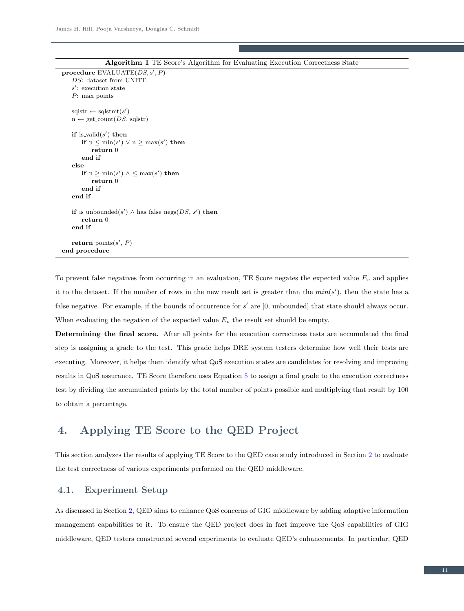```
\textbf{procedure } \text{EVALUATE}(DS, s', P)DS: dataset from UNITE
    s': execution state
   P: max points
    \mathrm{sglstr} \leftarrow \mathrm{sglstmt}(s')n \leftarrow get_count(DS, sqlst)if is valid(s') then
        if n \leq min(s') \vee n \geq max(s') then
           return 0
       end if
   else
        if n \ge \min(s') \land \le \max(s') then
           return 0
       end if
   end if
    if is unbounded(s') \wedge has false negs(DS, s') then
       return 0
   end if
    return points(s', P)end procedure
```

|  |  |  |  |  |  |  | <b>Algorithm 1</b> TE Score's Algorithm for Evaluating Execution Correctness State |  |
|--|--|--|--|--|--|--|------------------------------------------------------------------------------------|--|
|--|--|--|--|--|--|--|------------------------------------------------------------------------------------|--|

To prevent false negatives from occurring in an evaluation, TE Score negates the expected value  $E_v$  and applies it to the dataset. If the number of rows in the new result set is greater than the  $min(s')$ , then the state has a false negative. For example, if the bounds of occurrence for  $s'$  are  $[0,$  unbounded] that state should always occur. When evaluating the negation of the expected value  $E_v$  the result set should be empty.

Determining the final score. After all points for the execution correctness tests are accumulated the final step is assigning a grade to the test. This grade helps DRE system testers determine how well their tests are executing. Moreover, it helps them identify what QoS execution states are candidates for resolving and improving results in QoS assurance. TE Score therefore uses Equation [5](#page-9-3) to assign a final grade to the execution correctness test by dividing the accumulated points by the total number of points possible and multiplying that result by 100 to obtain a percentage.

# <span id="page-10-0"></span>4. Applying TE Score to the QED Project

This section analyzes the results of applying TE Score to the QED case study introduced in Section [2](#page-2-0) to evaluate the test correctness of various experiments performed on the QED middleware.

# 4.1. Experiment Setup

As discussed in Section [2,](#page-2-0) QED aims to enhance QoS concerns of GIG middleware by adding adaptive information management capabilities to it. To ensure the QED project does in fact improve the QoS capabilities of GIG middleware, QED testers constructed several experiments to evaluate QED's enhancements. In particular, QED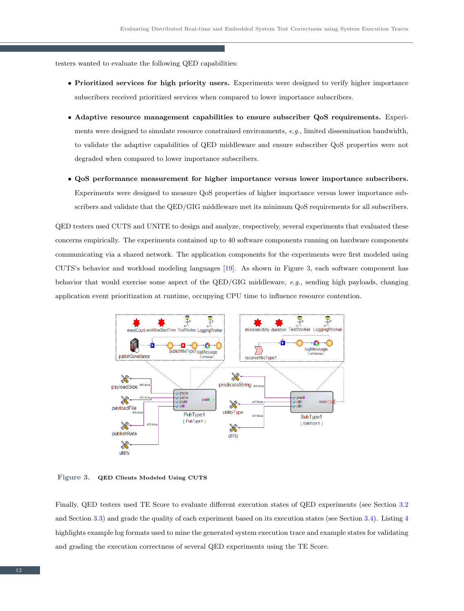testers wanted to evaluate the following QED capabilities:

- Prioritized services for high priority users. Experiments were designed to verify higher importance subscribers received prioritized services when compared to lower importance subscribers.
- Adaptive resource management capabilities to ensure subscriber QoS requirements. Experiments were designed to simulate resource constrained environments, e.g., limited dissemination bandwidth, to validate the adaptive capabilities of QED middleware and ensure subscriber QoS properties were not degraded when compared to lower importance subscribers.
- QoS performance measurement for higher importance versus lower importance subscribers. Experiments were designed to measure QoS properties of higher importance versus lower importance subscribers and validate that the QED/GIG middleware met its minimum QoS requirements for all subscribers.

QED testers used CUTS and UNITE to design and analyze, respectively, several experiments that evaluated these concerns empirically. The experiments contained up to 40 software components running on hardware components communicating via a shared network. The application components for the experiments were first modeled using CUTS's behavior and workload modeling languages [\[19\]](#page-20-13). As shown in Figure [3,](#page-11-0) each software component has behavior that would exercise some aspect of the QED/GIG middleware, e.g., sending high payloads, changing application event prioritization at runtime, occupying CPU time to influence resource contention.



<span id="page-11-0"></span>Figure 3. QED Clients Modeled Using CUTS

Finally, QED testers used TE Score to evaluate different execution states of QED experiments (see Section [3.2](#page-5-0) and Section [3.3\)](#page-6-0) and grade the quality of each experiment based on its execution states (see Section [3.4\)](#page-8-1). Listing [4](#page-12-0) highlights example log formats used to mine the generated system execution trace and example states for validating and grading the execution correctness of several QED experiments using the TE Score.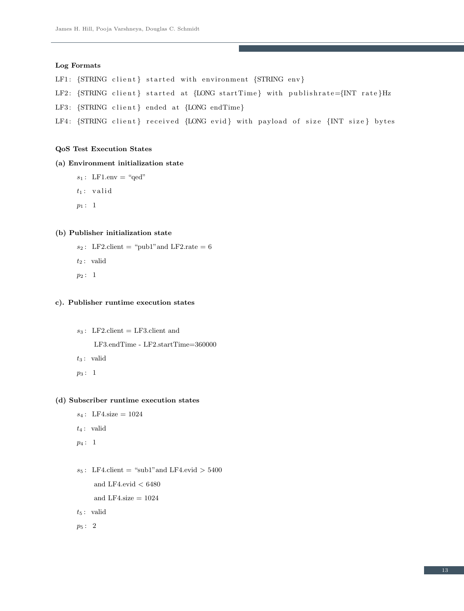#### <span id="page-12-0"></span>Log Formats

LF1: {STRING client} started with environment {STRING env}

```
LF2: {STRING client} started at {LONG startTime} with publishrate={INT rate} Hz
```
LF3: {STRING client} ended at {LONG endTime}

```
LF4: {STRING client} received {LONG evid} with payload of size {INT size} bytes
```
#### QoS Test Execution States

# (a) Environment initialization state

- $s_1$ : LF1.env = "qed"
- $t_1$ : valid
- $p_1 : 1$

#### (b) Publisher initialization state

- $s_2$ : LF2.client = "pub1" and LF2.rate = 6
- $t_2$ : valid
- $p_2: 1$

#### c). Publisher runtime execution states

 $s_3$ : LF2.client = LF3.client and

LF3.endTime - LF2.startTime=360000

- $t_3$ : valid
- $p_3: 1$

#### (d) Subscriber runtime execution states

```
s_4: LF4.size = 1024
```
- $t_4$ : valid
- $p_4: 1$
- $s_5$ : LF4.client = "sub1" and LF4.evid > 5400 and LF4.evid  $< 6480$ and LF4.size  $= 1024$
- $t_5$ : valid
- p<sup>5</sup> : 2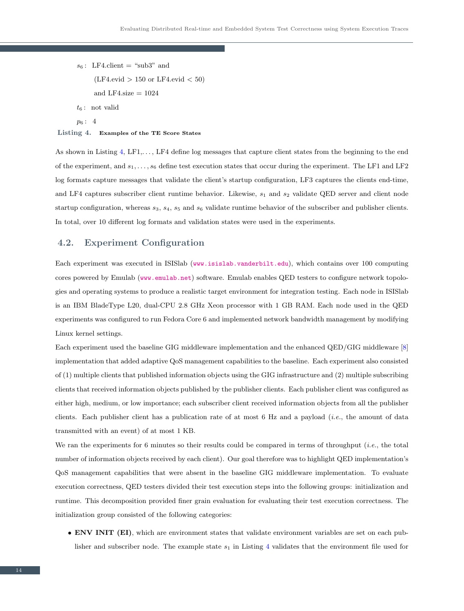$s_6$ : LF4.client = "sub3" and  $(LF4.evid > 150 \text{ or } LF4.evid < 50)$ and LF4.size  $= 1024$  $t_6$ : not valid  $p_6: 4$ 

#### Listing 4. Examples of the TE Score States

As shown in Listing  $4$ , LF1,..., LF4 define log messages that capture client states from the beginning to the end of the experiment, and  $s_1, \ldots, s_6$  define test execution states that occur during the experiment. The LF1 and LF2 log formats capture messages that validate the client's startup configuration, LF3 captures the clients end-time, and LF4 captures subscriber client runtime behavior. Likewise,  $s_1$  and  $s_2$  validate QED server and client node startup configuration, whereas  $s_3$ ,  $s_4$ ,  $s_5$  and  $s_6$  validate runtime behavior of the subscriber and publisher clients. In total, over 10 different log formats and validation states were used in the experiments.

### <span id="page-13-0"></span>4.2. Experiment Configuration

Each experiment was executed in ISISlab (<www.isislab.vanderbilt.edu>), which contains over 100 computing cores powered by Emulab (<www.emulab.net>) software. Emulab enables QED testers to configure network topologies and operating systems to produce a realistic target environment for integration testing. Each node in ISISlab is an IBM BladeType L20, dual-CPU 2.8 GHz Xeon processor with 1 GB RAM. Each node used in the QED experiments was configured to run Fedora Core 6 and implemented network bandwidth management by modifying Linux kernel settings.

Each experiment used the baseline GIG middleware implementation and the enhanced QED/GIG middleware [\[8\]](#page-20-2) implementation that added adaptive QoS management capabilities to the baseline. Each experiment also consisted of (1) multiple clients that published information objects using the GIG infrastructure and (2) multiple subscribing clients that received information objects published by the publisher clients. Each publisher client was configured as either high, medium, or low importance; each subscriber client received information objects from all the publisher clients. Each publisher client has a publication rate of at most 6 Hz and a payload (*i.e.*, the amount of data transmitted with an event) of at most 1 KB.

We ran the experiments for 6 minutes so their results could be compared in terms of throughput *(i.e.*, the total number of information objects received by each client). Our goal therefore was to highlight QED implementation's QoS management capabilities that were absent in the baseline GIG middleware implementation. To evaluate execution correctness, QED testers divided their test execution steps into the following groups: initialization and runtime. This decomposition provided finer grain evaluation for evaluating their test execution correctness. The initialization group consisted of the following categories:

• ENV INIT (EI), which are environment states that validate environment variables are set on each publisher and subscriber node. The example state  $s_1$  in Listing [4](#page-12-0) validates that the environment file used for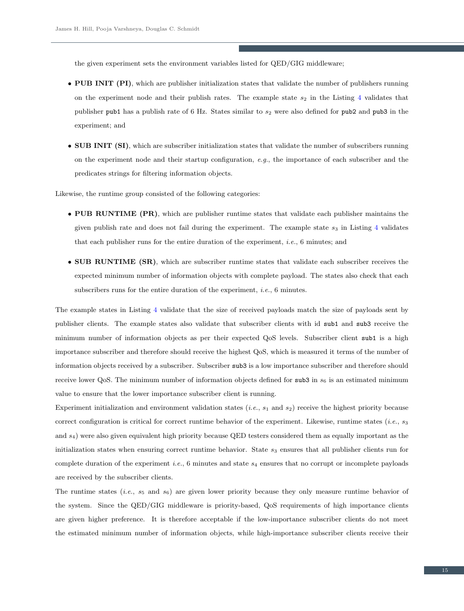the given experiment sets the environment variables listed for QED/GIG middleware;

- PUB INIT (PI), which are publisher initialization states that validate the number of publishers running on the experiment node and their publish rates. The example state  $s_2$  in the Listing [4](#page-12-0) validates that publisher pub1 has a publish rate of 6 Hz. States similar to  $s_2$  were also defined for pub2 and pub3 in the experiment; and
- SUB INIT (SI), which are subscriber initialization states that validate the number of subscribers running on the experiment node and their startup configuration, e.g., the importance of each subscriber and the predicates strings for filtering information objects.

Likewise, the runtime group consisted of the following categories:

- PUB RUNTIME (PR), which are publisher runtime states that validate each publisher maintains the given publish rate and does not fail during the experiment. The example state  $s_3$  in Listing [4](#page-12-0) validates that each publisher runs for the entire duration of the experiment, i.e., 6 minutes; and
- SUB RUNTIME (SR), which are subscriber runtime states that validate each subscriber receives the expected minimum number of information objects with complete payload. The states also check that each subscribers runs for the entire duration of the experiment, *i.e.*, 6 minutes.

The example states in Listing [4](#page-12-0) validate that the size of received payloads match the size of payloads sent by publisher clients. The example states also validate that subscriber clients with id sub1 and sub3 receive the minimum number of information objects as per their expected QoS levels. Subscriber client sub1 is a high importance subscriber and therefore should receive the highest QoS, which is measured it terms of the number of information objects received by a subscriber. Subscriber sub3 is a low importance subscriber and therefore should receive lower QoS. The minimum number of information objects defined for sub3 in  $s_6$  is an estimated minimum value to ensure that the lower importance subscriber client is running.

Experiment initialization and environment validation states (*i.e.*,  $s_1$  and  $s_2$ ) receive the highest priority because correct configuration is critical for correct runtime behavior of the experiment. Likewise, runtime states (*i.e.*,  $s_3$ ) and s4) were also given equivalent high priority because QED testers considered them as equally important as the initialization states when ensuring correct runtime behavior. State  $s_3$  ensures that all publisher clients run for complete duration of the experiment *i.e.*, 6 minutes and state  $s_4$  ensures that no corrupt or incomplete payloads are received by the subscriber clients.

The runtime states (*i.e.*,  $s_5$  and  $s_6$ ) are given lower priority because they only measure runtime behavior of the system. Since the QED/GIG middleware is priority-based, QoS requirements of high importance clients are given higher preference. It is therefore acceptable if the low-importance subscriber clients do not meet the estimated minimum number of information objects, while high-importance subscriber clients receive their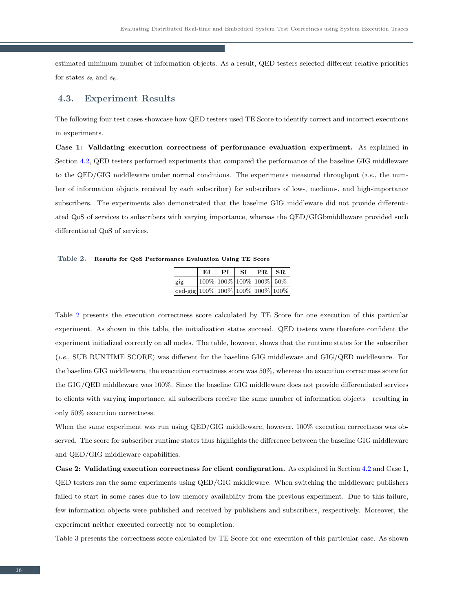estimated minimum number of information objects. As a result, QED testers selected different relative priorities for states  $s_5$  and  $s_6$ .

# 4.3. Experiment Results

The following four test cases showcase how QED testers used TE Score to identify correct and incorrect executions in experiments.

Case 1: Validating execution correctness of performance evaluation experiment. As explained in Section [4.2,](#page-13-0) QED testers performed experiments that compared the performance of the baseline GIG middleware to the QED/GIG middleware under normal conditions. The experiments measured throughput (i.e., the number of information objects received by each subscriber) for subscribers of low-, medium-, and high-importance subscribers. The experiments also demonstrated that the baseline GIG middleware did not provide differentiated QoS of services to subscribers with varying importance, whereas the QED/GIGbmiddleware provided such differentiated QoS of services.

<span id="page-15-0"></span>Table 2. Results for QoS Performance Evaluation Using TE Score

|                                            | ЕI                              | PI | SI | PR SR |  |
|--------------------------------------------|---------------------------------|----|----|-------|--|
| gig                                        | $ 100\% 100\% 100\% 100\% 50\%$ |    |    |       |  |
| $\sqrt{q}$ ed-gig 100% 100% 100% 100% 100% |                                 |    |    |       |  |

Table [2](#page-15-0) presents the execution correctness score calculated by TE Score for one execution of this particular experiment. As shown in this table, the initialization states succeed. QED testers were therefore confident the experiment initialized correctly on all nodes. The table, however, shows that the runtime states for the subscriber (i.e., SUB RUNTIME SCORE) was different for the baseline GIG middleware and GIG/QED middleware. For the baseline GIG middleware, the execution correctness score was 50%, whereas the execution correctness score for the GIG/QED middleware was 100%. Since the baseline GIG middleware does not provide differentiated services to clients with varying importance, all subscribers receive the same number of information objects—resulting in only 50% execution correctness.

When the same experiment was run using QED/GIG middleware, however, 100% execution correctness was observed. The score for subscriber runtime states thus highlights the difference between the baseline GIG middleware and QED/GIG middleware capabilities.

Case 2: Validating execution correctness for client configuration. As explained in Section [4.2](#page-13-0) and Case 1, QED testers ran the same experiments using QED/GIG middleware. When switching the middleware publishers failed to start in some cases due to low memory availability from the previous experiment. Due to this failure, few information objects were published and received by publishers and subscribers, respectively. Moreover, the experiment neither executed correctly nor to completion.

Table [3](#page-16-0) presents the correctness score calculated by TE Score for one execution of this particular case. As shown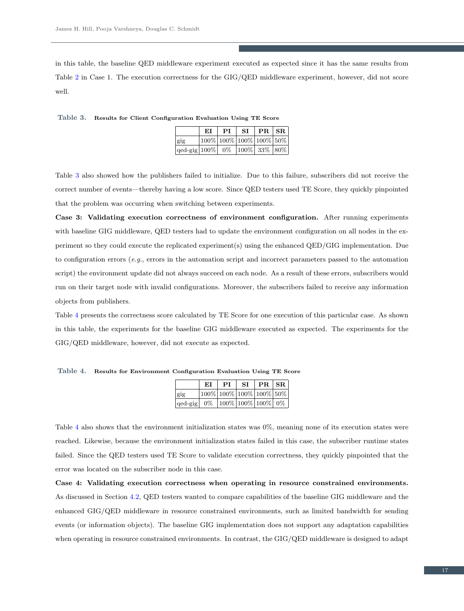in this table, the baseline QED middleware experiment executed as expected since it has the same results from Table [2](#page-15-0) in Case 1. The execution correctness for the GIG/QED middleware experiment, however, did not score well.

<span id="page-16-0"></span>Table 3. Results for Client Configuration Evaluation Using TE Score

|                                                                                      | ЕI                                     | PI | $SI$   PR $ SR $ |  |
|--------------------------------------------------------------------------------------|----------------------------------------|----|------------------|--|
| gig                                                                                  | $100\%$ $100\%$ $100\%$ $100\%$ $50\%$ |    |                  |  |
| $\vert \text{qed-gig} \vert 100\% \vert 0\% \vert 100\% \vert 33\% \vert 80\% \vert$ |                                        |    |                  |  |

Table [3](#page-16-0) also showed how the publishers failed to initialize. Due to this failure, subscribers did not receive the correct number of events—thereby having a low score. Since QED testers used TE Score, they quickly pinpointed that the problem was occurring when switching between experiments.

Case 3: Validating execution correctness of environment configuration. After running experiments with baseline GIG middleware, QED testers had to update the environment configuration on all nodes in the experiment so they could execute the replicated experiment(s) using the enhanced QED/GIG implementation. Due to configuration errors  $(e.g.,$  errors in the automation script and incorrect parameters passed to the automation script) the environment update did not always succeed on each node. As a result of these errors, subscribers would run on their target node with invalid configurations. Moreover, the subscribers failed to receive any information objects from publishers.

Table [4](#page-16-1) presents the correctness score calculated by TE Score for one execution of this particular case. As shown in this table, the experiments for the baseline GIG middleware executed as expected. The experiments for the GIG/QED middleware, however, did not execute as expected.

|                                        | ЕI | <b>PI</b> | SI. | PR SR                      |  |
|----------------------------------------|----|-----------|-----|----------------------------|--|
| gig                                    |    |           |     | $100\%$ 100% 100% 100% 50% |  |
| qed-gig   0%   100%   100%   100%   0% |    |           |     |                            |  |

<span id="page-16-1"></span>Table 4. Results for Environment Configuration Evaluation Using TE Score

Table [4](#page-16-1) also shows that the environment initialization states was 0%, meaning none of its execution states were reached. Likewise, because the environment initialization states failed in this case, the subscriber runtime states failed. Since the QED testers used TE Score to validate execution correctness, they quickly pinpointed that the error was located on the subscriber node in this case.

Case 4: Validating execution correctness when operating in resource constrained environments. As discussed in Section [4.2,](#page-13-0) QED testers wanted to compare capabilities of the baseline GIG middleware and the enhanced GIG/QED middleware in resource constrained environments, such as limited bandwidth for sending events (or information objects). The baseline GIG implementation does not support any adaptation capabilities when operating in resource constrained environments. In contrast, the GIG/QED middleware is designed to adapt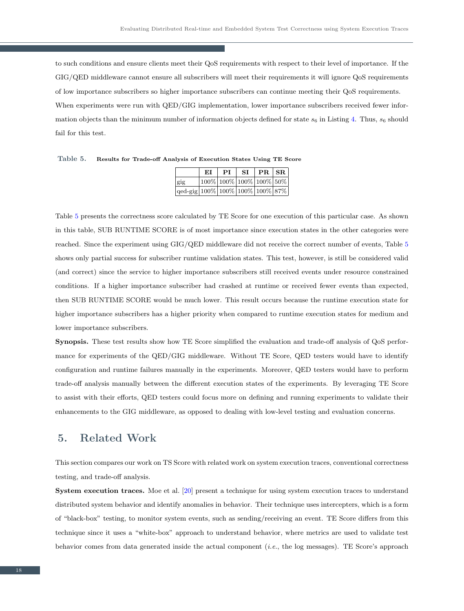to such conditions and ensure clients meet their QoS requirements with respect to their level of importance. If the GIG/QED middleware cannot ensure all subscribers will meet their requirements it will ignore QoS requirements of low importance subscribers so higher importance subscribers can continue meeting their QoS requirements. When experiments were run with QED/GIG implementation, lower importance subscribers received fewer information objects than the minimum number of information objects defined for state  $s_6$  in Listing [4.](#page-12-0) Thus,  $s_6$  should fail for this test.

|                                                  | ЕI | PІ | SI | PR SR                      |  |
|--------------------------------------------------|----|----|----|----------------------------|--|
| gig                                              |    |    |    | $100\%$ 100% 100% 100% 50% |  |
| $\log\left 100\% 100\% 100\% 100\% 87\% \right $ |    |    |    |                            |  |

<span id="page-17-1"></span>Table 5. Results for Trade-off Analysis of Execution States Using TE Score

Table [5](#page-17-1) presents the correctness score calculated by TE Score for one execution of this particular case. As shown in this table, SUB RUNTIME SCORE is of most importance since execution states in the other categories were reached. Since the experiment using GIG/QED middleware did not receive the correct number of events, Table [5](#page-17-1) shows only partial success for subscriber runtime validation states. This test, however, is still be considered valid (and correct) since the service to higher importance subscribers still received events under resource constrained conditions. If a higher importance subscriber had crashed at runtime or received fewer events than expected, then SUB RUNTIME SCORE would be much lower. This result occurs because the runtime execution state for higher importance subscribers has a higher priority when compared to runtime execution states for medium and lower importance subscribers.

Synopsis. These test results show how TE Score simplified the evaluation and trade-off analysis of QoS performance for experiments of the QED/GIG middleware. Without TE Score, QED testers would have to identify configuration and runtime failures manually in the experiments. Moreover, QED testers would have to perform trade-off analysis manually between the different execution states of the experiments. By leveraging TE Score to assist with their efforts, QED testers could focus more on defining and running experiments to validate their enhancements to the GIG middleware, as opposed to dealing with low-level testing and evaluation concerns.

# <span id="page-17-0"></span>5. Related Work

This section compares our work on TS Score with related work on system execution traces, conventional correctness testing, and trade-off analysis.

System execution traces. Moe et al. [\[20\]](#page-20-14) present a technique for using system execution traces to understand distributed system behavior and identify anomalies in behavior. Their technique uses intercepters, which is a form of "black-box" testing, to monitor system events, such as sending/receiving an event. TE Score differs from this technique since it uses a "white-box" approach to understand behavior, where metrics are used to validate test behavior comes from data generated inside the actual component (i.e., the log messages). TE Score's approach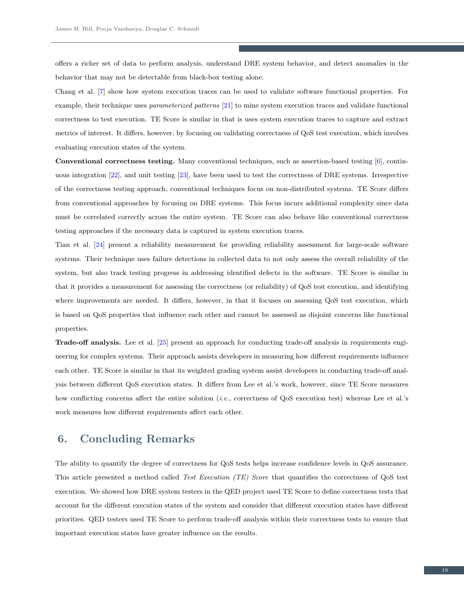offers a richer set of data to perform analysis, understand DRE system behavior, and detect anomalies in the behavior that may not be detectable from black-box testing alone.

Chang et al. [\[7\]](#page-20-1) show how system execution traces can be used to validate software functional properties. For example, their technique uses parameterized patterns [\[21\]](#page-20-15) to mine system execution traces and validate functional correctness to test execution. TE Score is similar in that is uses system execution traces to capture and extract metrics of interest. It differs, however, by focusing on validating correctness of QoS test execution, which involves evaluating execution states of the system.

Conventional correctness testing. Many conventional techniques, such as assertion-based testing [\[6\]](#page-20-0), continuous integration [\[22\]](#page-20-16), and unit testing [\[23\]](#page-20-17), have been used to test the correctness of DRE systems. Irrespective of the correctness testing approach, conventional techniques focus on non-distributed systems. TE Score differs from conventional approaches by focusing on DRE systems. This focus incurs additional complexity since data must be correlated correctly across the entire system. TE Score can also behave like conventional correctness testing approaches if the necessary data is captured in system execution traces.

Tian et al. [\[24\]](#page-20-18) present a reliability measurement for providing reliability assessment for large-scale software systems. Their technique uses failure detections in collected data to not only assess the overall reliability of the system, but also track testing progress in addressing identified defects in the software. TE Score is similar in that it provides a measurement for assessing the correctness (or reliability) of QoS test execution, and identifying where improvements are needed. It differs, however, in that it focuses on assessing QoS test execution, which is based on QoS properties that influence each other and cannot be assessed as disjoint concerns like functional properties.

Trade-off analysis. Lee et al. [\[25\]](#page-20-19) present an approach for conducting trade-off analysis in requirements engineering for complex systems. Their approach assists developers in measuring how different requirements influence each other. TE Score is similar in that its weighted grading system assist developers in conducting trade-off analysis between different QoS execution states. It differs from Lee et al.'s work, however, since TE Score measures how conflicting concerns affect the entire solution (*i.e.*, correctness of QoS execution test) whereas Lee et al.'s work measures how different requirements affect each other.

# <span id="page-18-0"></span>6. Concluding Remarks

The ability to quantify the degree of correctness for QoS tests helps increase confidence levels in QoS assurance. This article presented a method called Test Execution (TE) Score that quantifies the correctness of QoS test execution. We showed how DRE system testers in the QED project used TE Score to define correctness tests that account for the different execution states of the system and consider that different execution states have different priorities. QED testers used TE Score to perform trade-off analysis within their correctness tests to ensure that important execution states have greater influence on the results.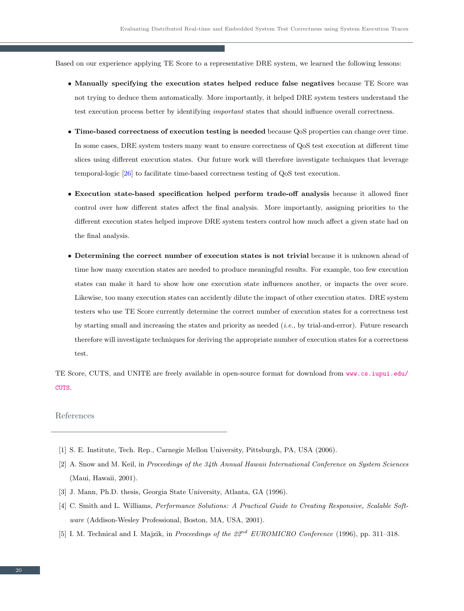Based on our experience applying TE Score to a representative DRE system, we learned the following lessons:

- Manually specifying the execution states helped reduce false negatives because TE Score was not trying to deduce them automatically. More importantly, it helped DRE system testers understand the test execution process better by identifying important states that should influence overall correctness.
- Time-based correctness of execution testing is needed because QoS properties can change over time. In some cases, DRE system testers many want to ensure correctness of QoS test execution at different time slices using different execution states. Our future work will therefore investigate techniques that leverage temporal-logic [\[26\]](#page-20-20) to facilitate time-based correctness testing of QoS test execution.
- Execution state-based specification helped perform trade-off analysis because it allowed finer control over how different states affect the final analysis. More importantly, assigning priorities to the different execution states helped improve DRE system testers control how much affect a given state had on the final analysis.
- Determining the correct number of execution states is not trivial because it is unknown ahead of time how many execution states are needed to produce meaningful results. For example, too few execution states can make it hard to show how one execution state influences another, or impacts the over score. Likewise, too many execution states can accidently dilute the impact of other execution states. DRE system testers who use TE Score currently determine the correct number of execution states for a correctness test by starting small and increasing the states and priority as needed (i.e., by trial-and-error). Future research therefore will investigate techniques for deriving the appropriate number of execution states for a correctness test.

TE Score, CUTS, and UNITE are freely available in open-source format for download from [www.cs.iupui.edu/](www.cs.iupui.edu/CUTS) [CUTS](www.cs.iupui.edu/CUTS).

#### References

- <span id="page-19-1"></span><span id="page-19-0"></span>[1] S. E. Institute, Tech. Rep., Carnegie Mellon University, Pittsburgh, PA, USA (2006).
- [2] A. Snow and M. Keil, in Proceedings of the 34th Annual Hawaii International Conference on System Sciences (Maui, Hawaii, 2001).
- <span id="page-19-3"></span><span id="page-19-2"></span>[3] J. Mann, Ph.D. thesis, Georgia State University, Atlanta, GA (1996).
- [4] C. Smith and L. Williams, Performance Solutions: A Practical Guide to Creating Responsive, Scalable Software (Addison-Wesley Professional, Boston, MA, USA, 2001).
- <span id="page-19-4"></span>[5] I. M. Technical and I. Majzik, in Proceedings of the  $22^{nd}$  EUROMICRO Conference (1996), pp. 311–318.